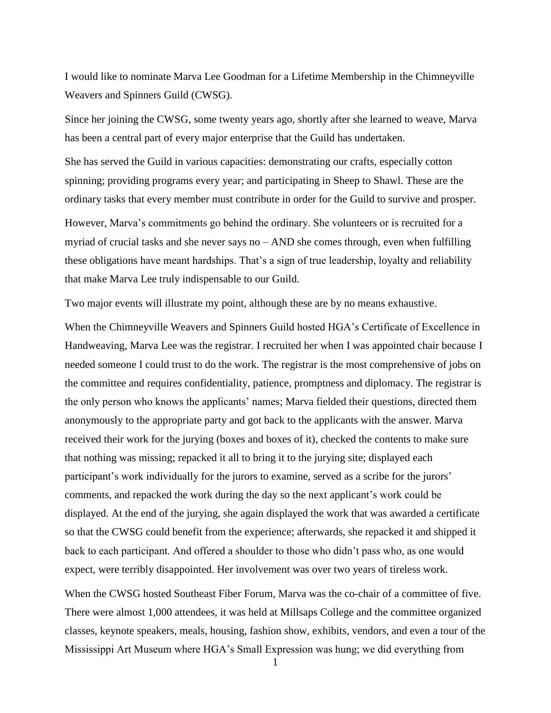I would like to nominate Marva Lee Goodman for a Lifetime Membership in the Chimneyville Weavers and Spinners Guild (CWSG).

Since her joining the CWSG, some twenty years ago, shortly after she learned to weave, Marva has been a central part of every major enterprise that the Guild has undertaken.

She has served the Guild in various capacities: demonstrating our crafts, especially cotton spinning; providing programs every year; and participating in Sheep to Shawl. These are the ordinary tasks that every member must contribute in order for the Guild to survive and prosper.

However, Marva's commitments go behind the ordinary. She volunteers or is recruited for a myriad of crucial tasks and she never says no  $-$  AND she comes through, even when fulfilling these obligations have meant hardships. That's a sign of true leadership, loyalty and reliability that make Marva Lee truly indispensable to our Guild.

Two major events will illustrate my point, although these are by no means exhaustive.

When the Chimneyville Weavers and Spinners Guild hosted HGA's Certificate of Excellence in Handweaving, Marva Lee was the registrar. I recruited her when I was appointed chair because I needed someone I could trust to do the work. The registrar is the most comprehensive of jobs on the committee and requires confidentiality, patience, promptness and diplomacy. The registrar is the only person who knows the applicants' names; Marva fielded their questions, directed them anonymously to the appropriate party and got back to the applicants with the answer. Marva received their work for the jurying (boxes and boxes of it), checked the contents to make sure that nothing was missing; repacked it all to bring it to the jurying site; displayed each participant's work individually for the jurors to examine, served as a scribe for the jurors' comments, and repacked the work during the day so the next applicant's work could be displayed. At the end of the jurying, she again displayed the work that was awarded a certificate so that the CWSG could benefit from the experience; afterwards, she repacked it and shipped it back to each participant. And offered a shoulder to those who didn't pass who, as one would expect, were terribly disappointed. Her involvement was over two years of tireless work.

When the CWSG hosted Southeast Fiber Forum, Marva was the co-chair of a committee of five. There were almost 1,000 attendees, it was held at Millsaps College and the committee organized classes, keynote speakers, meals, housing, fashion show, exhibits, vendors, and even a tour of the Mississippi Art Museum where HGA's Small Expression was hung; we did everything from

1